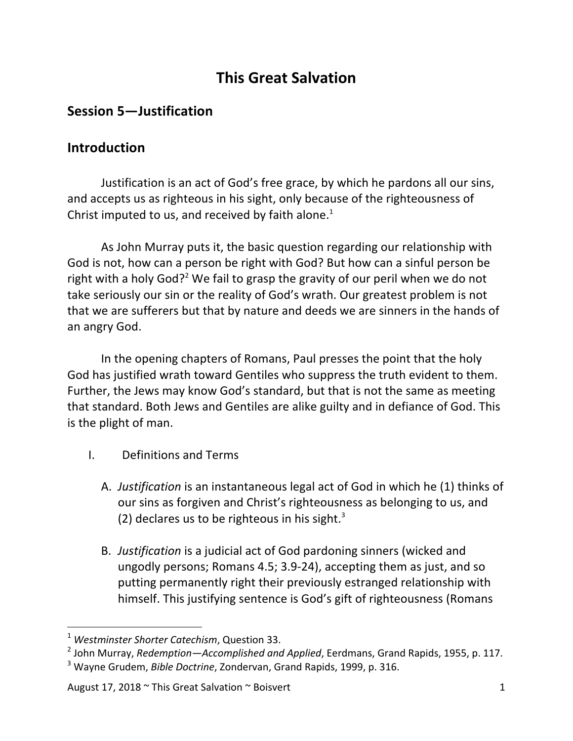## **This Great Salvation**

## **Session 5-Justification**

## **Introduction**

Justification is an act of God's free grace, by which he pardons all our sins, and accepts us as righteous in his sight, only because of the righteousness of Christ imputed to us, and received by faith alone.<sup>1</sup>

As John Murray puts it, the basic question regarding our relationship with God is not, how can a person be right with God? But how can a sinful person be right with a holy God?<sup>2</sup> We fail to grasp the gravity of our peril when we do not take seriously our sin or the reality of God's wrath. Our greatest problem is not that we are sufferers but that by nature and deeds we are sinners in the hands of an angry God.

In the opening chapters of Romans, Paul presses the point that the holy God has justified wrath toward Gentiles who suppress the truth evident to them. Further, the Jews may know God's standard, but that is not the same as meeting that standard. Both Jews and Gentiles are alike guilty and in defiance of God. This is the plight of man.

- I. Definitions and Terms
	- A. *Justification* is an instantaneous legal act of God in which he (1) thinks of our sins as forgiven and Christ's righteousness as belonging to us, and (2) declares us to be righteous in his sight.<sup>3</sup>
	- B. Justification is a judicial act of God pardoning sinners (wicked and ungodly persons; Romans 4.5; 3.9-24), accepting them as just, and so putting permanently right their previously estranged relationship with himself. This justifying sentence is God's gift of righteousness (Romans

<sup>&</sup>lt;sup>1</sup> Westminster Shorter Catechism, Question 33.

<sup>&</sup>lt;sup>2</sup> John Murray, *Redemption—Accomplished and Applied*, Eerdmans, Grand Rapids, 1955, p. 117.

<sup>&</sup>lt;sup>3</sup> Wayne Grudem, *Bible Doctrine*, Zondervan, Grand Rapids, 1999, p. 316.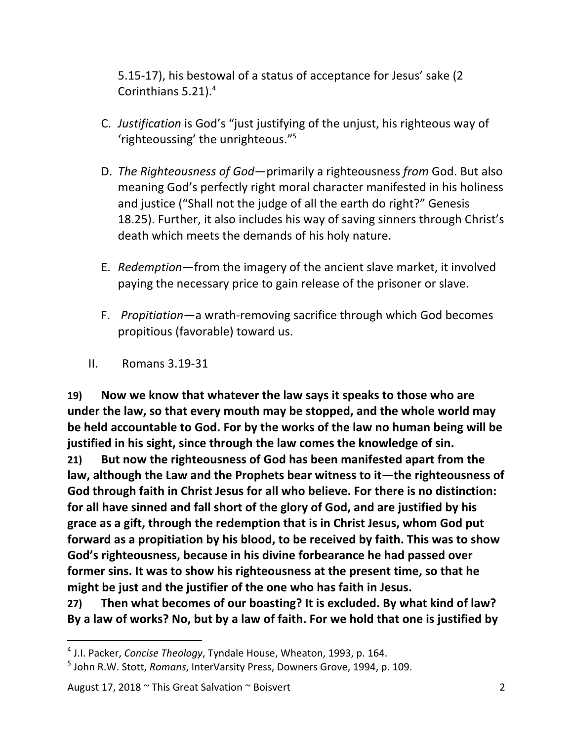5.15-17), his bestowal of a status of acceptance for Jesus' sake (2) Corinthians 5.21).<sup>4</sup>

- C. *Justification* is God's "just justifying of the unjust, his righteous way of 'righteoussing' the unrighteous."<sup>5</sup>
- D. *The Righteousness of God*—primarily a righteousness *from* God. But also meaning God's perfectly right moral character manifested in his holiness and justice ("Shall not the judge of all the earth do right?" Genesis 18.25). Further, it also includes his way of saving sinners through Christ's death which meets the demands of his holy nature.
- E. *Redemption*—from the imagery of the ancient slave market, it involved paying the necessary price to gain release of the prisoner or slave.
- F. *Propitiation*—a wrath-removing sacrifice through which God becomes propitious (favorable) toward us.
- II. Romans 3.19-31

19) Now we know that whatever the law says it speaks to those who are under the law, so that every mouth may be stopped, and the whole world may be held accountable to God. For by the works of the law no human being will be justified in his sight, since through the law comes the knowledge of sin.

**21)** But now the righteousness of God has been manifested apart from the law, although the Law and the Prophets bear witness to it—the righteousness of God through faith in Christ Jesus for all who believe. For there is no distinction: for all have sinned and fall short of the glory of God, and are justified by his grace as a gift, through the redemption that is in Christ Jesus, whom God put **forward as a propitiation by his blood, to be received by faith. This was to show** God's righteousness, because in his divine forbearance he had passed over **former sins. It was to show his righteousness at the present time, so that he** might be just and the justifier of the one who has faith in Jesus.

**27)** Then what becomes of our boasting? It is excluded. By what kind of law? By a law of works? No, but by a law of faith. For we hold that one is justified by

<sup>&</sup>lt;sup>4</sup> J.I. Packer, *Concise Theology*, Tyndale House, Wheaton, 1993, p. 164.

<sup>&</sup>lt;sup>5</sup> John R.W. Stott, *Romans*, InterVarsity Press, Downers Grove, 1994, p. 109.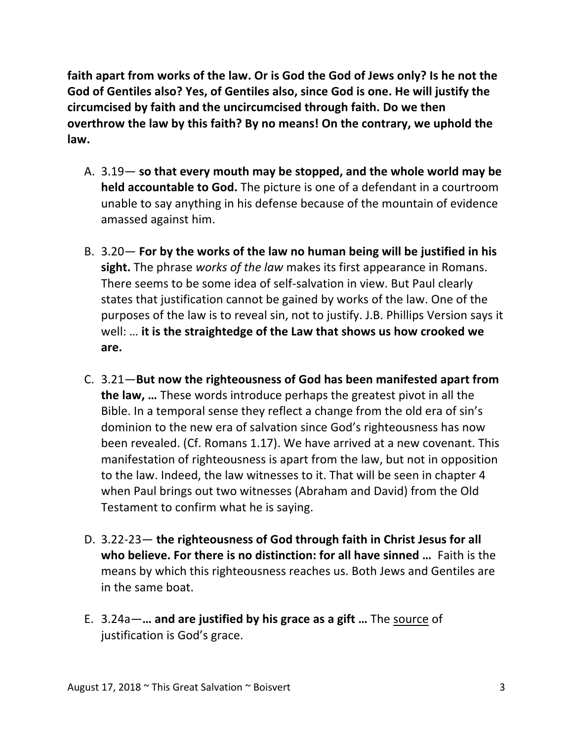faith apart from works of the law. Or is God the God of Jews only? Is he not the God of Gentiles also? Yes, of Gentiles also, since God is one. He will justify the circumcised by faith and the uncircumcised through faith. Do we then **overthrow the law by this faith? By no means! On the contrary, we uphold the law.**

- A. 3.19 so that every mouth may be stopped, and the whole world may be **held accountable to God.** The picture is one of a defendant in a courtroom unable to say anything in his defense because of the mountain of evidence amassed against him.
- B. 3.20 For by the works of the law no human being will be justified in his **sight.** The phrase works of the law makes its first appearance in Romans. There seems to be some idea of self-salvation in view. But Paul clearly states that justification cannot be gained by works of the law. One of the purposes of the law is to reveal sin, not to justify. J.B. Phillips Version says it well: ... it is the straightedge of the Law that shows us how crooked we **are.**
- C. 3.21—**But now the righteousness of God has been manifested apart from the law, ...** These words introduce perhaps the greatest pivot in all the Bible. In a temporal sense they reflect a change from the old era of sin's dominion to the new era of salvation since God's righteousness has now been revealed. (Cf. Romans 1.17). We have arrived at a new covenant. This manifestation of righteousness is apart from the law, but not in opposition to the law. Indeed, the law witnesses to it. That will be seen in chapter 4 when Paul brings out two witnesses (Abraham and David) from the Old Testament to confirm what he is saying.
- D. 3.22-23 the righteousness of God through faith in Christ Jesus for all **who believe. For there is no distinction: for all have sinned ...** Faith is the means by which this righteousness reaches us. Both Jews and Gentiles are in the same boat.
- E. 3.24a—**... and are justified by his grace as a gift ...** The source of justification is God's grace.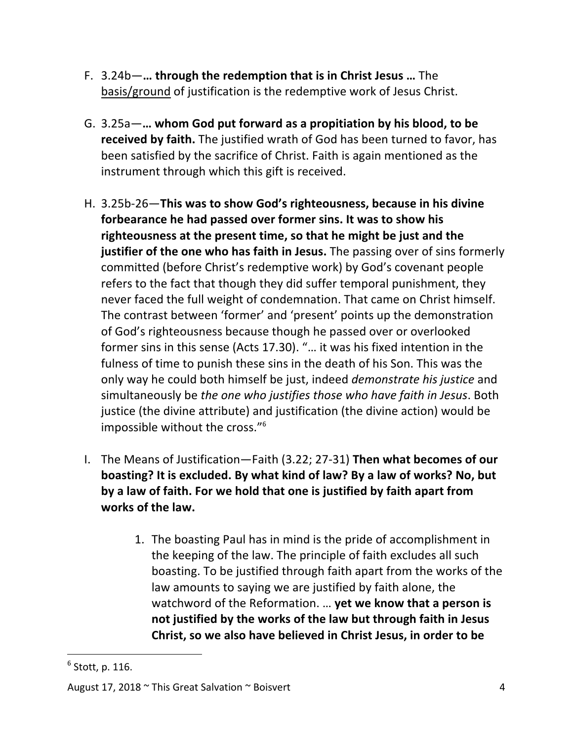- **F.** 3.24b—**… through the redemption that is in Christ Jesus ... The** basis/ground of justification is the redemptive work of Jesus Christ.
- G. 3.25a— ... whom God put forward as a propitiation by his blood, to be **received by faith.** The justified wrath of God has been turned to favor, has been satisfied by the sacrifice of Christ. Faith is again mentioned as the instrument through which this gift is received.
- H. 3.25b-26—**This was to show God's righteousness, because in his divine forbearance he had passed over former sins. It was to show his** righteousness at the present time, so that he might be just and the **justifier of the one who has faith in Jesus.** The passing over of sins formerly committed (before Christ's redemptive work) by God's covenant people refers to the fact that though they did suffer temporal punishment, they never faced the full weight of condemnation. That came on Christ himself. The contrast between 'former' and 'present' points up the demonstration of God's righteousness because though he passed over or overlooked former sins in this sense (Acts 17.30). "... it was his fixed intention in the fulness of time to punish these sins in the death of his Son. This was the only way he could both himself be just, indeed *demonstrate his justice* and simultaneously be *the one who justifies those who have faith in Jesus*. Both justice (the divine attribute) and justification (the divine action) would be impossible without the cross." $6$
- I. The Means of Justification—Faith (3.22; 27-31) Then what becomes of our **boasting?** It is excluded. By what kind of law? By a law of works? No, but by a law of faith. For we hold that one is justified by faith apart from **works of the law.**
	- 1. The boasting Paul has in mind is the pride of accomplishment in the keeping of the law. The principle of faith excludes all such boasting. To be justified through faith apart from the works of the law amounts to saying we are justified by faith alone, the watchword of the Reformation. ... **yet we know that a person is** not justified by the works of the law but through faith in Jesus **Christ, so we also have believed in Christ Jesus, in order to be**

 $<sup>6</sup>$  Stott, p. 116.</sup>

August 17, 2018 ~ This Great Salvation ~ Boisvert 4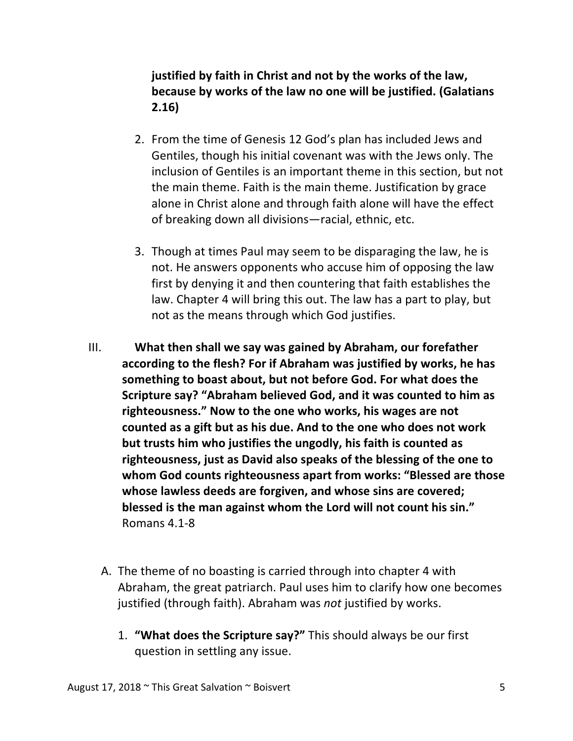## **justified by faith in Christ and not by the works of the law, because by works of the law no one will be justified. (Galatians 2.16)**

- 2. From the time of Genesis 12 God's plan has included Jews and Gentiles, though his initial covenant was with the Jews only. The inclusion of Gentiles is an important theme in this section, but not the main theme. Faith is the main theme. Justification by grace alone in Christ alone and through faith alone will have the effect of breaking down all divisions—racial, ethnic, etc.
- 3. Though at times Paul may seem to be disparaging the law, he is not. He answers opponents who accuse him of opposing the law first by denying it and then countering that faith establishes the law. Chapter 4 will bring this out. The law has a part to play, but not as the means through which God justifies.
- III. What then shall we say was gained by Abraham, our forefather according to the flesh? For if Abraham was justified by works, he has something to boast about, but not before God. For what does the Scripture say? "Abraham believed God, and it was counted to him as righteousness." Now to the one who works, his wages are not counted as a gift but as his due. And to the one who does not work but trusts him who justifies the ungodly, his faith is counted as righteousness, just as David also speaks of the blessing of the one to **whom God counts righteousness apart from works: "Blessed are those** whose lawless deeds are forgiven, and whose sins are covered; **blessed is the man against whom the Lord will not count his sin."** Romans 4.1-8
	- A. The theme of no boasting is carried through into chapter 4 with Abraham, the great patriarch. Paul uses him to clarify how one becomes justified (through faith). Abraham was *not* justified by works.
		- 1. **"What does the Scripture say?"** This should always be our first question in settling any issue.